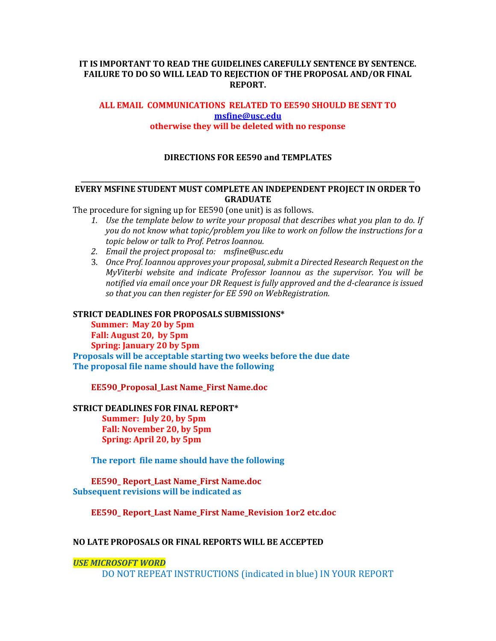#### **IT IS IMPORTANT TO READ THE GUIDELINES CAREFULLY SENTENCE BY SENTENCE. FAILURE TO DO SO WILL LEAD TO REJECTION OF THE PROPOSAL AND/OR FINAL REPORT.**

### **ALL EMAIL COMMUNICATIONS RELATED TO EE590 SHOULD BE SENT TO [msfine@usc.edu](mailto:msfine@usc.edu) otherwise they will be deleted with no response**

### **DIRECTIONS FOR EE590 and TEMPLATES**

#### **\_\_\_\_\_\_\_\_\_\_\_\_\_\_\_\_\_\_\_\_\_\_\_\_\_\_\_\_\_\_\_\_\_\_\_\_\_\_\_\_\_\_\_\_\_\_\_\_\_\_\_\_\_\_\_\_\_\_\_\_\_\_\_\_\_\_\_\_\_\_\_\_\_\_\_\_\_\_\_\_\_\_\_\_\_\_\_\_\_\_\_\_\_\_\_\_\_\_\_\_\_ EVERY MSFINE STUDENT MUST COMPLETE AN INDEPENDENT PROJECT IN ORDER TO GRADUATE**

The procedure for signing up for EE590 (one unit) is as follows.

- *1. Use the template below to write your proposal that describes what you plan to do. If you do not know what topic/problem you like to work on follow the instructions for a topic below or talk to Prof. Petros Ioannou.*
- *2. Email the project proposal to: msfine@usc.edu*
- 3. *Once Prof. Ioannou approves your proposal, submit a Directed Research Request on the MyViterbi website and indicate Professor Ioannou as the supervisor. You will be notified via email once your DR Request is fully approved and the d-clearance is issued so that you can then register for EE 590 on WebRegistration.*

#### **STRICT DEADLINES FOR PROPOSALS SUBMISSIONS\***

**Summer: May 20 by 5pm Fall: August 20, by 5pm Spring: January 20 by 5pm Proposals will be acceptable starting two weeks before the due date The proposal file name should have the following**

**EE590\_Proposal\_Last Name\_First Name.doc** 

#### **STRICT DEADLINES FOR FINAL REPORT\***

 **Summer: July 20, by 5pm Fall: November 20, by 5pm Spring: April 20, by 5pm**

**The report file name should have the following**

#### **EE590\_ Report\_Last Name\_First Name.doc Subsequent revisions will be indicated as**

**EE590\_ Report\_Last Name\_First Name\_Revision 1or2 etc.doc** 

#### **NO LATE PROPOSALS OR FINAL REPORTS WILL BE ACCEPTED**

#### *USE MICROSOFT WORD*

DO NOT REPEAT INSTRUCTIONS (indicated in blue) IN YOUR REPORT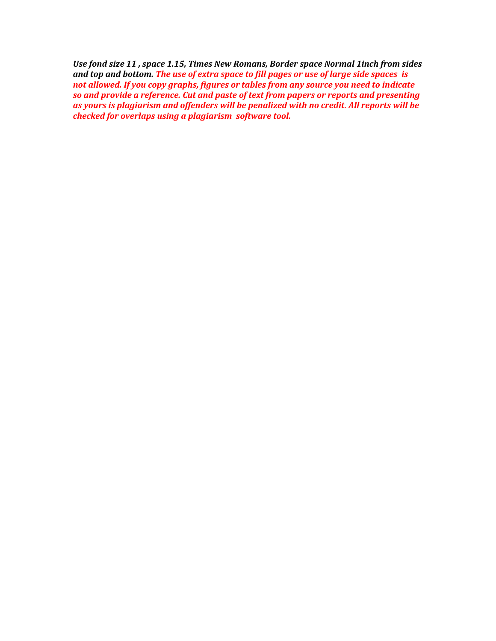*Use fond size 11 , space 1.15, Times New Romans, Border space Normal 1inch from sides and top and bottom. The use of extra space to fill pages or use of large side spaces is not allowed. If you copy graphs, figures or tables from any source you need to indicate so and provide a reference. Cut and paste of text from papers or reports and presenting as yours is plagiarism and offenders will be penalized with no credit. All reports will be checked for overlaps using a plagiarism software tool.*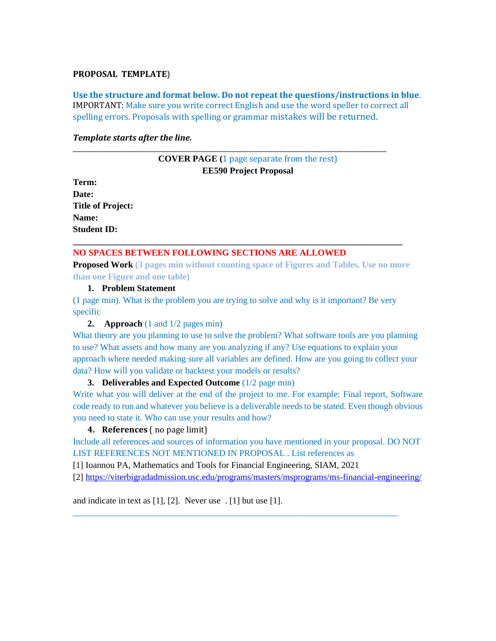#### **PROPOSAL TEMPLATE**)

**Use the structure and format below. Do not repeat the questions/instructions in blue**. IMPORTANT: Make sure you write correct English and use the word speller to correct all spelling errors. Proposals with spelling or grammar mistakes will be returned.

#### *Template starts after the line.*

### **COVER PAGE (**1 page separate from the rest) **EE590 Project Proposal**

\_\_\_\_\_\_\_\_\_\_\_\_\_\_\_\_\_\_\_\_\_\_\_\_\_\_\_\_\_\_\_\_\_\_\_\_\_\_\_\_\_\_\_\_\_\_\_\_\_\_\_\_\_\_\_\_\_\_\_\_\_\_\_\_\_\_\_\_\_\_\_\_\_\_\_\_\_\_\_\_\_\_\_\_\_\_\_\_\_\_\_\_\_\_\_

**Term: Date: Title of Project: Name: Student ID:**

### **NO SPACES BETWEEN FOLLOWING SECTIONS ARE ALLOWED**

**Proposed Work (3 pages min without counting space of Figures and Tables. Use no more than one Figure and one table)**

**\_\_\_\_\_\_\_\_\_\_\_\_\_\_\_\_\_\_\_\_\_\_\_\_\_\_\_\_\_\_\_\_\_\_\_\_\_\_\_\_\_\_\_\_\_\_\_\_\_\_\_\_\_\_\_\_\_\_\_\_\_\_\_\_\_\_\_\_\_\_\_\_\_\_**

**1. Problem Statement** 

(1 page min). What is the problem you are trying to solve and why is it important? Be very specific

#### **2. Approach** (1 and 1/2 pages min)

What theory are you planning to use to solve the problem? What software tools are you planning to use? What assets and how many are you analyzing if any? Use equations to explain your approach where needed making sure all variables are defined. How are you going to collect your data? How will you validate or backtest your models or results?

#### **3. Deliverables and Expected Outcome** (1/2 page min)

Write what you will deliver at the end of the project to me. For example: Final report, Software code ready to run and whatever you believe is a deliverable needs to be stated. Even though obvious you need to state it. Who can use your results and how?

#### **4. References** ( no page limit)

Include all references and sources of information you have mentioned in your proposal. DO NOT LIST REFERENCES NOT MENTIONED IN PROPOSAL . List references as

[1] Ioannou PA, Mathematics and Tools for Financial Engineering, SIAM, 2021

[2]<https://viterbigradadmission.usc.edu/programs/masters/msprograms/ms-financial-engineering/>

\_\_\_\_\_\_\_\_\_\_\_\_\_\_\_\_\_\_\_\_\_\_\_\_\_\_\_\_\_\_\_\_\_\_\_\_\_\_\_\_\_\_\_\_\_\_\_\_\_\_\_\_\_\_\_\_\_\_\_\_\_\_\_\_\_\_\_\_\_\_\_\_\_

and indicate in text as [1], [2]. Never use . [1] but use [1].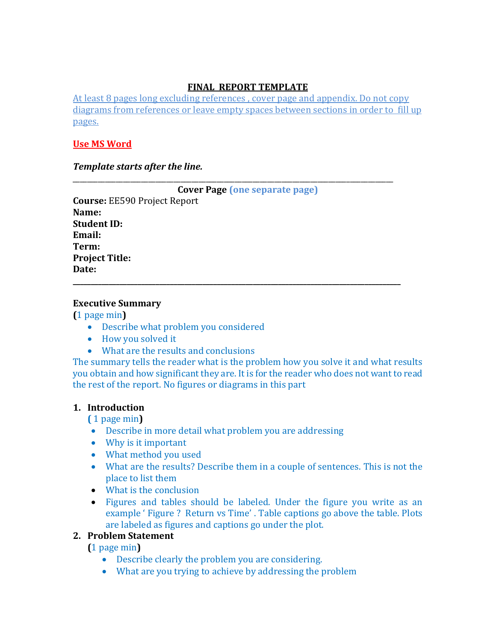# **FINAL REPORT TEMPLATE**

At least 8 pages long excluding references , cover page and appendix. Do not copy diagrams from references or leave empty spaces between sections in order to fill up pages.

\_\_\_\_\_\_\_\_\_\_\_\_\_\_\_\_\_\_\_\_\_\_\_\_\_\_\_\_\_\_\_\_\_\_\_\_\_\_\_\_\_\_\_\_\_\_\_\_\_\_\_\_\_\_\_\_\_\_\_\_\_\_\_\_\_\_\_\_\_\_\_\_\_\_\_\_\_\_\_\_\_\_\_\_\_\_\_\_\_

### **Use MS Word**

*Template starts after the line.*

| <b>Cover Page (one separate page)</b> |
|---------------------------------------|
| <b>Course: EE590 Project Report</b>   |
| Name:                                 |
| <b>Student ID:</b>                    |
| Email:                                |
| Term:                                 |
| <b>Project Title:</b>                 |
| Date:                                 |
|                                       |

### **Executive Summary**

**(**1 page min**)**

- Describe what problem you considered
- How you solved it
- What are the results and conclusions

The summary tells the reader what is the problem how you solve it and what results you obtain and how significant they are. It is for the reader who does not want to read the rest of the report. No figures or diagrams in this part

## **1. Introduction**

**(** 1 page min**)**

- Describe in more detail what problem you are addressing
- Why is it important
- What method you used
- What are the results? Describe them in a couple of sentences. This is not the place to list them
- What is the conclusion
- Figures and tables should be labeled. Under the figure you write as an example ' Figure ? Return vs Time' . Table captions go above the table. Plots are labeled as figures and captions go under the plot.

## **2. Problem Statement**

**(**1 page min**)**

- Describe clearly the problem you are considering.
- What are you trying to achieve by addressing the problem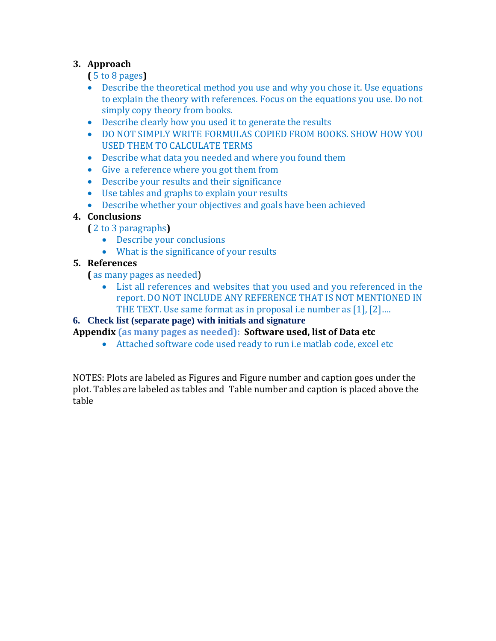# **3. Approach**

**(** 5 to 8 pages**)**

- Describe the theoretical method you use and why you chose it. Use equations to explain the theory with references. Focus on the equations you use. Do not simply copy theory from books.
- Describe clearly how you used it to generate the results
- DO NOT SIMPLY WRITE FORMULAS COPIED FROM BOOKS. SHOW HOW YOU USED THEM TO CALCULATE TERMS
- Describe what data you needed and where you found them
- Give a reference where you got them from
- Describe your results and their significance
- Use tables and graphs to explain your results
- Describe whether your objectives and goals have been achieved

# **4. Conclusions**

**(** 2 to 3 paragraphs**)**

- Describe your conclusions
- What is the significance of your results

# **5. References**

**(** as many pages as needed)

• List all references and websites that you used and you referenced in the report. DO NOT INCLUDE ANY REFERENCE THAT IS NOT MENTIONED IN THE TEXT. Use same format as in proposal i.e number as [1], [2]….

# **6. Check list (separate page) with initials and signature**

# **Appendix (as many pages as needed): Software used, list of Data etc**

• Attached software code used ready to run i.e matlab code, excel etc

NOTES: Plots are labeled as Figures and Figure number and caption goes under the plot. Tables are labeled as tables and Table number and caption is placed above the table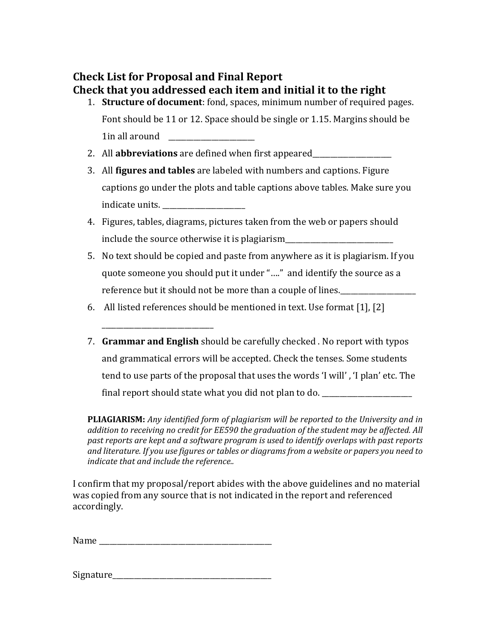# **Check List for Proposal and Final Report Check that you addressed each item and initial it to the right**

- 1. **Structure of document**: fond, spaces, minimum number of required pages. Font should be 11 or 12. Space should be single or 1.15. Margins should be 1in all around \_\_\_\_\_\_\_\_\_\_\_\_\_\_\_\_\_\_\_\_\_\_\_\_
- 2. All **abbreviations** are defined when first appeared
- 3. All **figures and tables** are labeled with numbers and captions. Figure captions go under the plots and table captions above tables. Make sure you indicate units. \_\_\_\_\_\_\_\_\_\_\_\_\_\_\_\_\_\_\_\_\_\_\_
- 4. Figures, tables, diagrams, pictures taken from the web or papers should include the source otherwise it is plagiarism\_\_\_\_\_\_\_\_\_\_\_\_\_\_\_\_\_\_\_\_\_\_\_\_\_\_\_\_\_\_\_\_\_\_\_
- 5. No text should be copied and paste from anywhere as it is plagiarism. If you quote someone you should put it under "…." and identify the source as a reference but it should not be more than a couple of lines.
- 6. All listed references should be mentioned in text. Use format [1], [2]
- 7. **Grammar and English** should be carefully checked . No report with typos and grammatical errors will be accepted. Check the tenses. Some students tend to use parts of the proposal that uses the words 'I will' , 'I plan' etc. The final report should state what you did not plan to do.

**PLIAGIARISM:** *Any identified form of plagiarism will be reported to the University and in addition to receiving no credit for EE590 the graduation of the student may be affected. All past reports are kept and a software program is used to identify overlaps with past reports and literature. If you use figures or tables or diagrams from a website or papers you need to indicate that and include the reference..*

I confirm that my proposal/report abides with the above guidelines and no material was copied from any source that is not indicated in the report and referenced accordingly.

| Name |
|------|
|------|

\_\_\_\_\_\_\_\_\_\_\_\_\_\_\_\_\_\_\_\_\_\_\_\_\_\_\_\_\_\_\_

| Signature |  |  |
|-----------|--|--|
|           |  |  |